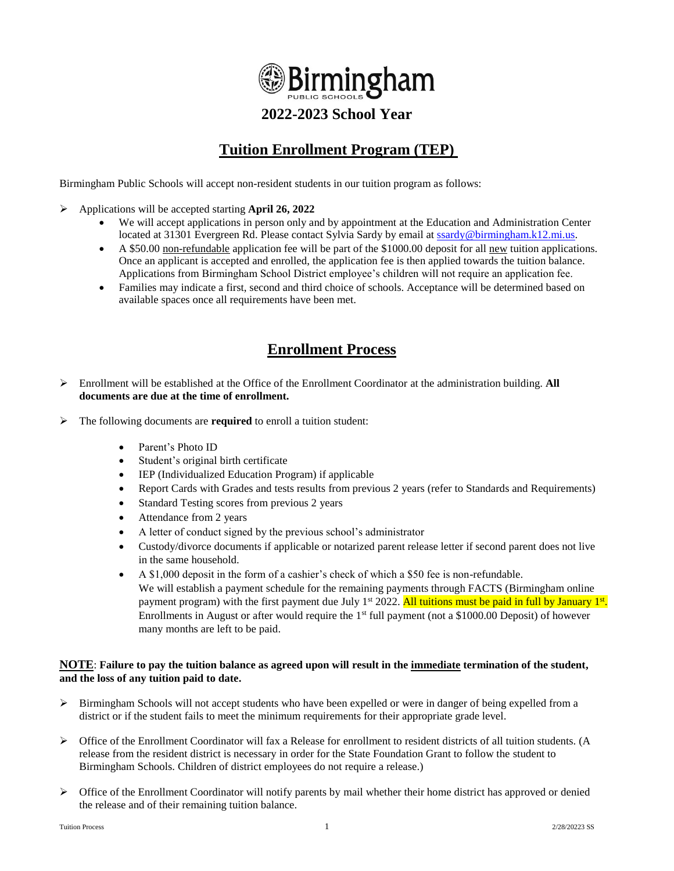

## **2022-2023 School Year**

# **Tuition Enrollment Program (TEP)**

Birmingham Public Schools will accept non-resident students in our tuition program as follows:

- ➢ Applications will be accepted starting **April 26, 2022**
	- We will accept applications in person only and by appointment at the Education and Administration Center located at 31301 Evergreen Rd. Please contact Sylvia Sardy by email at [ssardy@birmingham.k12.mi.us.](mailto:ssardy@birmingham.k12.mi.us)
	- A \$50.00 non-refundable application fee will be part of the \$1000.00 deposit for all new tuition applications. Once an applicant is accepted and enrolled, the application fee is then applied towards the tuition balance. Applications from Birmingham School District employee's children will not require an application fee.
	- Families may indicate a first, second and third choice of schools. Acceptance will be determined based on available spaces once all requirements have been met.

### **Enrollment Process**

- ➢ Enrollment will be established at the Office of the Enrollment Coordinator at the administration building. **All documents are due at the time of enrollment.**
- ➢ The following documents are **required** to enroll a tuition student:
	- Parent's Photo ID
	- Student's original birth certificate
	- IEP (Individualized Education Program) if applicable
	- Report Cards with Grades and tests results from previous 2 years (refer to Standards and Requirements)
	- Standard Testing scores from previous 2 years
	- Attendance from 2 years
	- A letter of conduct signed by the previous school's administrator
	- Custody/divorce documents if applicable or notarized parent release letter if second parent does not live in the same household.
	- A \$1,000 deposit in the form of a cashier's check of which a \$50 fee is non-refundable. We will establish a payment schedule for the remaining payments through FACTS (Birmingham online payment program) with the first payment due July 1<sup>st</sup> 2022. <mark>All tuitions must be paid in full by January 1<sup>st</sup>.</mark> Enrollments in August or after would require the 1<sup>st</sup> full payment (not a \$1000.00 Deposit) of however many months are left to be paid.

#### **NOTE**: **Failure to pay the tuition balance as agreed upon will result in the immediate termination of the student, and the loss of any tuition paid to date.**

- ➢ Birmingham Schools will not accept students who have been expelled or were in danger of being expelled from a district or if the student fails to meet the minimum requirements for their appropriate grade level.
- $\triangleright$  Office of the Enrollment Coordinator will fax a Release for enrollment to resident districts of all tuition students. (A release from the resident district is necessary in order for the State Foundation Grant to follow the student to Birmingham Schools. Children of district employees do not require a release.)
- ➢ Office of the Enrollment Coordinator will notify parents by mail whether their home district has approved or denied the release and of their remaining tuition balance.